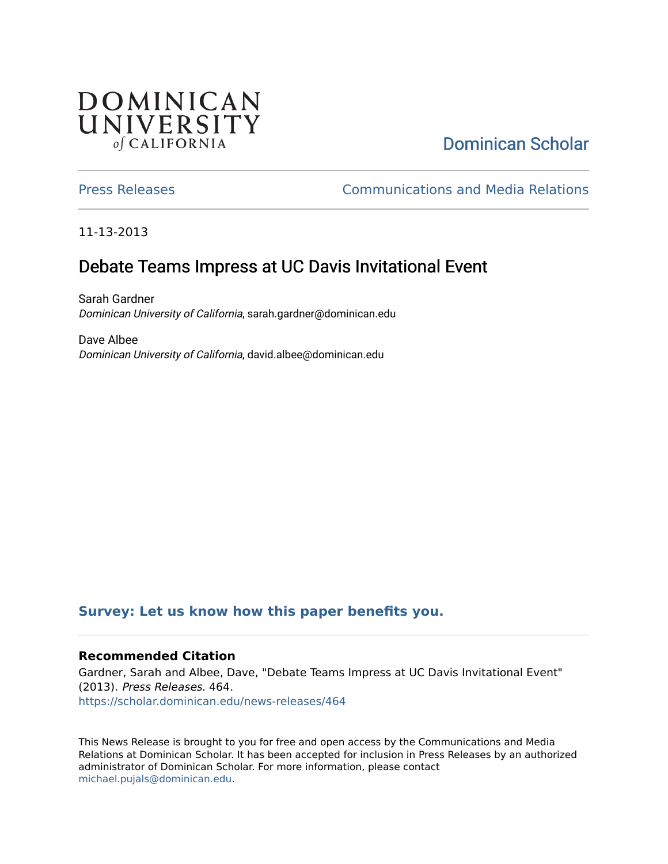## DOMINICAN UNIVERSITY of CALIFORNIA

# [Dominican Scholar](https://scholar.dominican.edu/)

[Press Releases](https://scholar.dominican.edu/news-releases) [Communications and Media Relations](https://scholar.dominican.edu/communications-media) 

11-13-2013

# Debate Teams Impress at UC Davis Invitational Event

Sarah Gardner Dominican University of California, sarah.gardner@dominican.edu

Dave Albee Dominican University of California, david.albee@dominican.edu

#### **[Survey: Let us know how this paper benefits you.](https://dominican.libwizard.com/dominican-scholar-feedback)**

#### **Recommended Citation**

Gardner, Sarah and Albee, Dave, "Debate Teams Impress at UC Davis Invitational Event" (2013). Press Releases. 464. [https://scholar.dominican.edu/news-releases/464](https://scholar.dominican.edu/news-releases/464?utm_source=scholar.dominican.edu%2Fnews-releases%2F464&utm_medium=PDF&utm_campaign=PDFCoverPages)

This News Release is brought to you for free and open access by the Communications and Media Relations at Dominican Scholar. It has been accepted for inclusion in Press Releases by an authorized administrator of Dominican Scholar. For more information, please contact [michael.pujals@dominican.edu.](mailto:michael.pujals@dominican.edu)